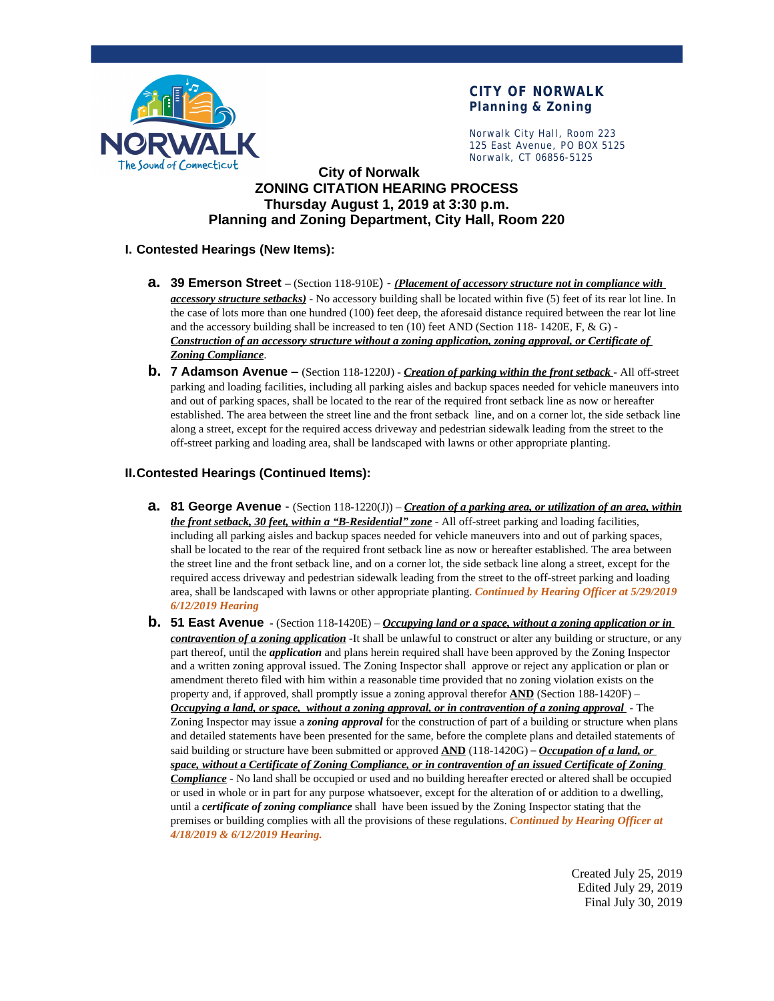

# **CITY OF NORWALK Planning & Zoning**

Norwalk City Hall, Room 223 125 East Avenue, PO BOX 5125 Norwalk, CT 06856-5125

# **City of Norwalk ZONING CITATION HEARING PROCESS Thursday August 1, 2019 at 3:30 p.m. Planning and Zoning Department, City Hall, Room 220**

### **I. Contested Hearings (New Items):**

- **a. 39 Emerson Street –** (Section 118-910E) *(Placement of accessory structure not in compliance with accessory structure setbacks)* - No accessory building shall be located within five (5) feet of its rear lot line. In the case of lots more than one hundred (100) feet deep, the aforesaid distance required between the rear lot line and the accessory building shall be increased to ten (10) feet AND (Section 118- 1420E, F, & G) - *Construction of an accessory structure without a zoning application, zoning approval, or Certificate of Zoning Compliance*.
- **b. 7 Adamson Avenue –** (Section 118-1220J) *Creation of parking within the front setback* All off-street parking and loading facilities, including all parking aisles and backup spaces needed for vehicle maneuvers into and out of parking spaces, shall be located to the rear of the required front setback line as now or hereafter established. The area between the street line and the front setback line, and on a corner lot, the side setback line along a street, except for the required access driveway and pedestrian sidewalk leading from the street to the off-street parking and loading area, shall be landscaped with lawns or other appropriate planting.

### **II.Contested Hearings (Continued Items):**

- **a. 81 George Avenue**  (Section 118-1220(J)) *Creation of a parking area, or utilization of an area, within the front setback, 30 feet, within a "B-Residential" zone* - All off-street parking and loading facilities, including all parking aisles and backup spaces needed for vehicle maneuvers into and out of parking spaces, shall be located to the rear of the required front setback line as now or hereafter established. The area between the street line and the front setback line, and on a corner lot, the side setback line along a street, except for the required access driveway and pedestrian sidewalk leading from the street to the off-street parking and loading area, shall be landscaped with lawns or other appropriate planting. *Continued by Hearing Officer at 5/29/2019 6/12/2019 Hearing*
- **b. 51 East Avenue** (Section 118-1420E) *Occupying land or a space, without a zoning application or in contravention of a zoning application* -It shall be unlawful to construct or alter any building or structure, or any part thereof, until the *application* and plans herein required shall have been approved by the Zoning Inspector and a written zoning approval issued. The Zoning Inspector shall approve or reject any application or plan or amendment thereto filed with him within a reasonable time provided that no zoning violation exists on the property and, if approved, shall promptly issue a zoning approval therefor **AND** (Section 188-1420F) – *Occupying a land, or space, without a zoning approval, or in contravention of a zoning approval* - The Zoning Inspector may issue a *zoning approval* for the construction of part of a building or structure when plans and detailed statements have been presented for the same, before the complete plans and detailed statements of said building or structure have been submitted or approved **AND** (118-1420G) – *Occupation of a land, or space, without a Certificate of Zoning Compliance, or in contravention of an issued Certificate of Zoning Compliance* - No land shall be occupied or used and no building hereafter erected or altered shall be occupied or used in whole or in part for any purpose whatsoever, except for the alteration of or addition to a dwelling, until a *certificate of zoning compliance* shall have been issued by the Zoning Inspector stating that the premises or building complies with all the provisions of these regulations. *Continued by Hearing Officer at 4/18/2019 & 6/12/2019 Hearing.*

Created July 25, 2019 Edited July 29, 2019 Final July 30, 2019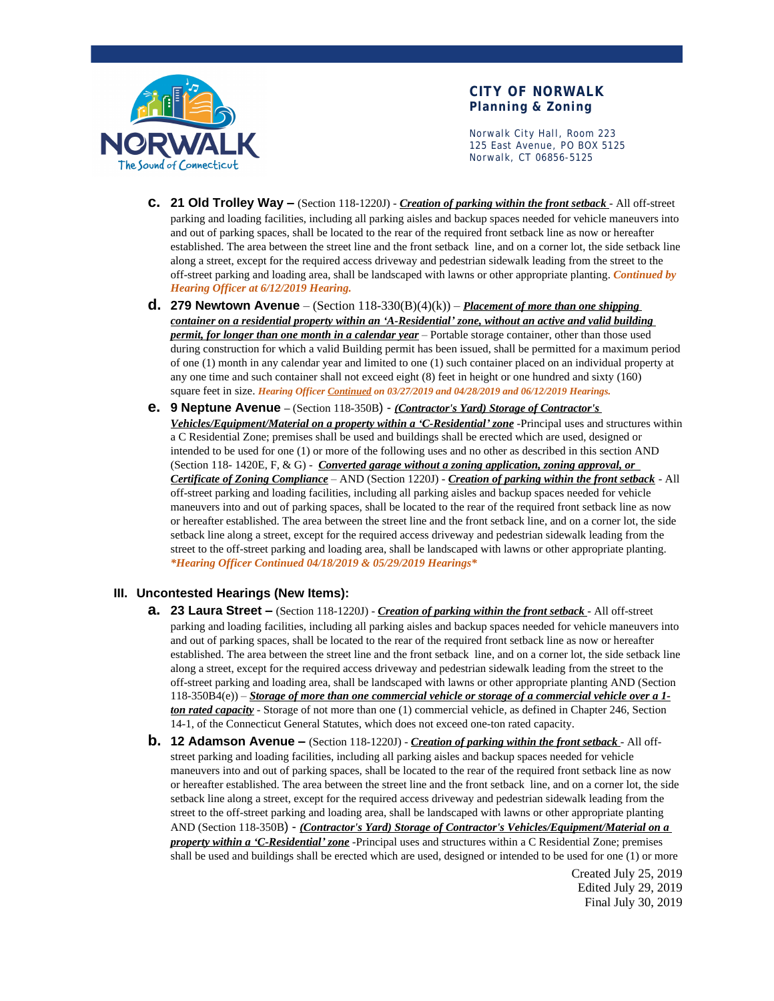

### **CITY OF NORWALK Planning & Zoning**

Norwalk City Hall, Room 223 125 East Avenue, PO BOX 5125 Norwalk, CT 06856-5125

- **c. 21 Old Trolley Way –** (Section 118-1220J) *Creation of parking within the front setback* All off-street parking and loading facilities, including all parking aisles and backup spaces needed for vehicle maneuvers into and out of parking spaces, shall be located to the rear of the required front setback line as now or hereafter established. The area between the street line and the front setback line, and on a corner lot, the side setback line along a street, except for the required access driveway and pedestrian sidewalk leading from the street to the off-street parking and loading area, shall be landscaped with lawns or other appropriate planting. *Continued by Hearing Officer at 6/12/2019 Hearing.*
- **d. 279 Newtown Avenue**  (Section 118-330(B)(4)(k)) *Placement of more than one shipping container on a residential property within an 'A-Residential' zone, without an active and valid building permit, for longer than one month in a calendar year* – Portable storage container, other than those used during construction for which a valid Building permit has been issued, shall be permitted for a maximum period of one (1) month in any calendar year and limited to one (1) such container placed on an individual property at any one time and such container shall not exceed eight (8) feet in height or one hundred and sixty (160) square feet in size. *Hearing Officer Continued on 03/27/2019 and 04/28/2019 and 06/12/2019 Hearings.*
- **e. 9 Neptune Avenue –** (Section 118-350B) *(Contractor's Yard) Storage of Contractor's Vehicles/Equipment/Material on a property within a 'C-Residential' zone* -Principal uses and structures within a C Residential Zone; premises shall be used and buildings shall be erected which are used, designed or intended to be used for one (1) or more of the following uses and no other as described in this section AND (Section 118- 1420E, F, & G) - *Converted garage without a zoning application, zoning approval, or Certificate of Zoning Compliance* – AND (Section 1220J) - *Creation of parking within the front setback* - All off-street parking and loading facilities, including all parking aisles and backup spaces needed for vehicle maneuvers into and out of parking spaces, shall be located to the rear of the required front setback line as now or hereafter established. The area between the street line and the front setback line, and on a corner lot, the side setback line along a street, except for the required access driveway and pedestrian sidewalk leading from the street to the off-street parking and loading area, shall be landscaped with lawns or other appropriate planting. *\*Hearing Officer Continued 04/18/2019 & 05/29/2019 Hearings\**

#### **III. Uncontested Hearings (New Items):**

- **a. 23 Laura Street –** (Section 118-1220J) *Creation of parking within the front setback* All off-street parking and loading facilities, including all parking aisles and backup spaces needed for vehicle maneuvers into and out of parking spaces, shall be located to the rear of the required front setback line as now or hereafter established. The area between the street line and the front setback line, and on a corner lot, the side setback line along a street, except for the required access driveway and pedestrian sidewalk leading from the street to the off-street parking and loading area, shall be landscaped with lawns or other appropriate planting AND (Section 118-350B4(e)) – *Storage of more than one commercial vehicle or storage of a commercial vehicle over a 1 ton rated capacity* - Storage of not more than one (1) commercial vehicle, as defined in Chapter 246, Section 14-1, of the Connecticut General Statutes, which does not exceed one-ton rated capacity.
- **b. 12 Adamson Avenue –** (Section 118-1220J) *Creation of parking within the front setback* All offstreet parking and loading facilities, including all parking aisles and backup spaces needed for vehicle maneuvers into and out of parking spaces, shall be located to the rear of the required front setback line as now or hereafter established. The area between the street line and the front setback line, and on a corner lot, the side setback line along a street, except for the required access driveway and pedestrian sidewalk leading from the street to the off-street parking and loading area, shall be landscaped with lawns or other appropriate planting AND (Section 118-350B) - *(Contractor's Yard) Storage of Contractor's Vehicles/Equipment/Material on a property within a 'C-Residential' zone* -Principal uses and structures within a C Residential Zone; premises shall be used and buildings shall be erected which are used, designed or intended to be used for one (1) or more

Created July 25, 2019 Edited July 29, 2019 Final July 30, 2019